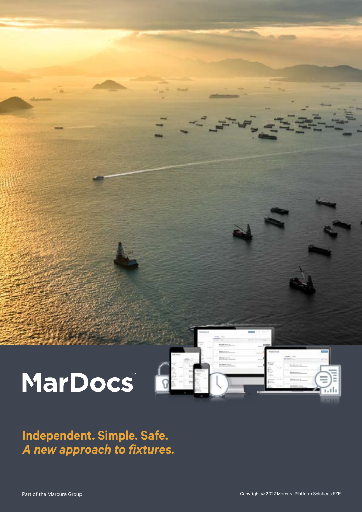



**Independent. Simple. Safe.**  *A new approach to fixtures.*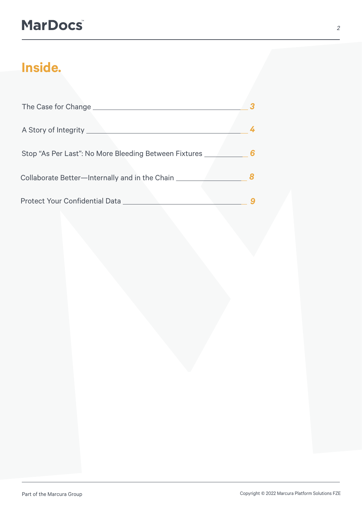# **MarDocs**

# **Inside.**

| The Case for Change                                   | 3 |
|-------------------------------------------------------|---|
| A Story of Integrity _____                            | 4 |
| Stop "As Per Last": No More Bleeding Between Fixtures | 6 |
| Collaborate Better—Internally and in the Chain        |   |
| Protect Your Confidential Data _                      |   |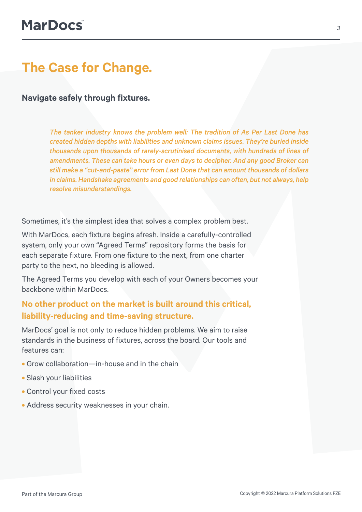### **The Case for Change.**

**Navigate safely through fixtures.**

*The tanker industry knows the problem well: The tradition of As Per Last Done has created hidden depths with liabilities and unknown claims issues. They're buried inside thousands upon thousands of rarely-scrutinised documents, with hundreds of lines of amendments. These can take hours or even days to decipher. And any good Broker can still make a "cut-and-paste" error from Last Done that can amount thousands of dollars in claims. Handshake agreements and good relationships can often, but not always, help resolve misunderstandings.* 

Sometimes, it's the simplest idea that solves a complex problem best.

With MarDocs, each fixture begins afresh. Inside a carefully-controlled system, only your own "Agreed Terms" repository forms the basis for each separate fixture. From one fixture to the next, from one charter party to the next, no bleeding is allowed.

The Agreed Terms you develop with each of your Owners becomes your backbone within MarDocs.

#### **No other product on the market is built around this critical, liability-reducing and time-saving structure.**

MarDocs' goal is not only to reduce hidden problems. We aim to raise standards in the business of fixtures, across the board. Our tools and features can:

- **•** Grow collaboration—in-house and in the chain
- **•** Slash your liabilities
- **•** Control your fixed costs
- **•** Address security weaknesses in your chain.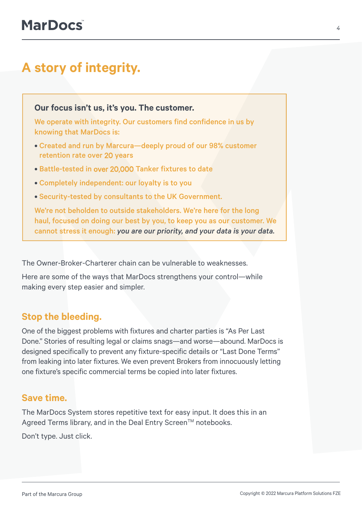### **A story of integrity.**

**Our focus isn't us, it's you. The customer.** 

We operate with integrity. Our customers find confidence in us by knowing that MarDocs is:

- Created and run by Marcura—deeply proud of our 98% customer retention rate over 20 years
- Battle-tested in over 20,000 Tanker fixtures to date
- Completely independent: our loyalty is to you
- Security-tested by consultants to the UK Government.

We're not beholden to outside stakeholders. We're here for the long haul, focused on doing our best by you, to keep you as our customer. We cannot stress it enough: *you are our priority, and your data is your data.*

The Owner-Broker-Charterer chain can be vulnerable to weaknesses.

Here are some of the ways that MarDocs strengthens your control—while making every step easier and simpler.

#### **Stop the bleeding.**

One of the biggest problems with fixtures and charter parties is "As Per Last Done." Stories of resulting legal or claims snags—and worse—abound. MarDocs is designed specifically to prevent any fixture-specific details or "Last Done Terms" from leaking into later fixtures. We even prevent Brokers from innocuously letting one fixture's specific commercial terms be copied into later fixtures.

#### **Save time.**

The MarDocs System stores repetitive text for easy input. It does this in an Agreed Terms library, and in the Deal Entry Screen™ notebooks.

Don't type. Just click.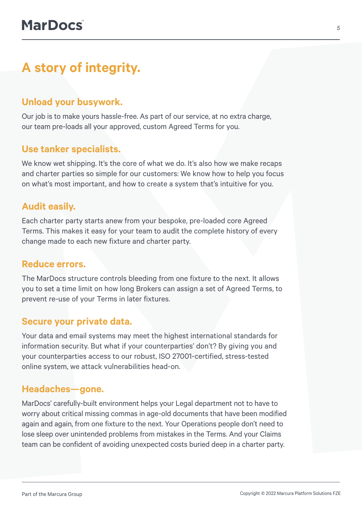### **A story of integrity.**

### **Unload your busywork.**

Our job is to make yours hassle-free. As part of our service, at no extra charge, our team pre-loads all your approved, custom Agreed Terms for you.

### **Use tanker specialists.**

We know wet shipping. It's the core of what we do. It's also how we make recaps and charter parties so simple for our customers: We know how to help you focus on what's most important, and how to create a system that's intuitive for you.

#### **Audit easily.**

Each charter party starts anew from your bespoke, pre-loaded core Agreed Terms. This makes it easy for your team to audit the complete history of every change made to each new fixture and charter party.

#### **Reduce errors.**

The MarDocs structure controls bleeding from one fixture to the next. It allows you to set a time limit on how long Brokers can assign a set of Agreed Terms, to prevent re-use of your Terms in later fixtures.

#### **Secure your private data.**

Your data and email systems may meet the highest international standards for information security. But what if your counterparties' don't? By giving you and your counterparties access to our robust, ISO 27001-certified, stress-tested online system, we attack vulnerabilities head-on.

#### **Headaches—gone.**

MarDocs' carefully-built environment helps your Legal department not to have to worry about critical missing commas in age-old documents that have been modified again and again, from one fixture to the next. Your Operations people don't need to lose sleep over unintended problems from mistakes in the Terms. And your Claims team can be confident of avoiding unexpected costs buried deep in a charter party.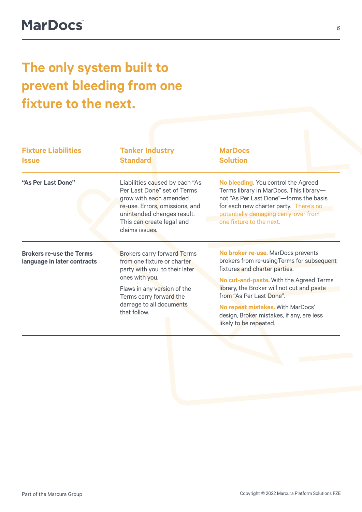# **The only system built to prevent bleeding from one fixture to the next.**

| <b>Fixture Liabilities</b><br><b>Issue</b>                     | <b>Tanker Industry</b><br><b>Standard</b>                                                                                                                                                                                  | <b>MarDocs</b><br><b>Solution</b>                                                                                                                                                                                                                                                                                                                  |
|----------------------------------------------------------------|----------------------------------------------------------------------------------------------------------------------------------------------------------------------------------------------------------------------------|----------------------------------------------------------------------------------------------------------------------------------------------------------------------------------------------------------------------------------------------------------------------------------------------------------------------------------------------------|
| "As Per Last Done"                                             | Liabilities caused by each "As<br>Per Last Done" set of Terms<br>grow with each amended<br>re-use. Errors, omissions, and<br>unintended changes result.<br>This can create legal and<br>claims issues.                     | No bleeding. You control the Agreed<br>Terms library in MarDocs. This library-<br>not "As Per Last Done"-forms the basis<br>for each new charter party. There's no<br>potentially damaging carry-over from<br>one fixture to the next.                                                                                                             |
| <b>Brokers re-use the Terms</b><br>language in later contracts | <b>Brokers carry forward Terms</b><br>from one fixture or charter<br>party with you, to their later<br>ones with you.<br>Flaws in any version of the<br>Terms carry forward the<br>damage to all documents<br>that follow. | No broker re-use. MarDocs prevents<br>brokers from re-using Terms for subsequent<br>fixtures and charter parties.<br>No cut-and-paste. With the Agreed Terms<br>library, the Broker will not cut and paste<br>from "As Per Last Done".<br>No repeat mistakes. With MarDocs'<br>design, Broker mistakes, if any, are less<br>likely to be repeated. |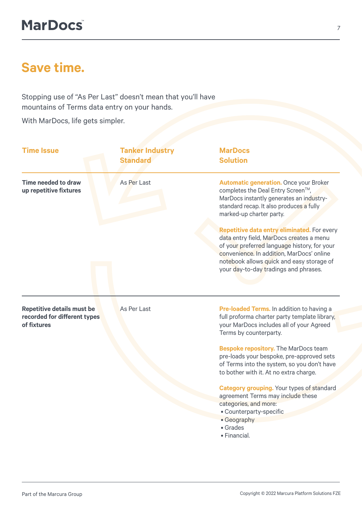### **Save time.**

Stopping use of "As Per Last" doesn't mean that you'll have mountains of Terms data entry on your hands.

With MarDocs, life gets simpler.

| <b>Time Issue</b>                                                                | <b>Tanker Industry</b><br><b>Standard</b> | <b>MarDocs</b><br><b>Solution</b>                                                                                                                                                                                                                                          |
|----------------------------------------------------------------------------------|-------------------------------------------|----------------------------------------------------------------------------------------------------------------------------------------------------------------------------------------------------------------------------------------------------------------------------|
| Time needed to draw<br>up repetitive fixtures                                    | As Per Last                               | <b>Automatic generation.</b> Once your Broker<br>completes the Deal Entry Screen™,<br>MarDocs instantly generates an industry-<br>standard recap. It also produces a fully<br>marked-up charter party.                                                                     |
|                                                                                  |                                           | Repetitive data entry eliminated. For every<br>data entry field, MarDocs creates a menu<br>of your preferred language history, for your<br>convenience. In addition, MarDocs' online<br>notebook allows quick and easy storage of<br>your day-to-day tradings and phrases. |
| <b>Repetitive details must be</b><br>recorded for different types<br>of fixtures | As Per Last                               | Pre-loaded Terms. In addition to having a<br>full proforma charter party template library,<br>your MarDocs includes all of your Agreed<br>Terms by counterparty.                                                                                                           |
|                                                                                  |                                           | <b>Bespoke repository.</b> The MarDocs team<br>pre-loads your bespoke, pre-approved sets<br>of Terms into the system, so you don't have<br>to bother with it. At no extra charge.                                                                                          |
|                                                                                  |                                           | <b>Category grouping.</b> Your types of standard<br>agreement Terms may include these<br>categories, and more:<br>• Counterparty-specific<br>• Geography<br>• Grades<br>· Financial.                                                                                       |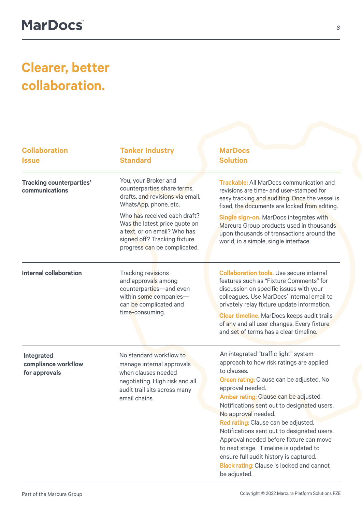# **Clearer, better collaboration.**

| <b>Collaboration</b><br><b>Issue</b>               | <b>Tanker Industry</b><br><b>Standard</b>                                                                                                                                                                                                                                         | <b>MarDocs</b><br><b>Solution</b>                                                                                                                                                                                                                                                                                                                                                                                                                                                                                                                                      |
|----------------------------------------------------|-----------------------------------------------------------------------------------------------------------------------------------------------------------------------------------------------------------------------------------------------------------------------------------|------------------------------------------------------------------------------------------------------------------------------------------------------------------------------------------------------------------------------------------------------------------------------------------------------------------------------------------------------------------------------------------------------------------------------------------------------------------------------------------------------------------------------------------------------------------------|
| <b>Tracking counterparties'</b><br>communications  | You, your Broker and<br>counterparties share terms,<br>drafts, and revisions via email,<br>WhatsApp, phone, etc.<br>Who has received each draft?<br>Was the latest price quote on<br>a text, or on email? Who has<br>signed off? Tracking fixture<br>progress can be complicated. | <b>Trackable:</b> All MarDocs communication and<br>revisions are time- and user-stamped for<br>easy tracking and auditing. Once the vessel is<br>fixed, the documents are locked from editing.<br><b>Single sign-on.</b> MarDocs integrates with<br>Marcura Group products used in thousands<br>upon thousands of transactions around the<br>world, in a simple, single interface.                                                                                                                                                                                     |
| <b>Internal collaboration</b>                      | Tracking revisions<br>and approvals among<br>counterparties-and even<br>within some companies-<br>can be complicated and<br>time-consuming.                                                                                                                                       | <b>Collaboration tools.</b> Use secure internal<br>features such as "Fixture Comments" for<br>discussion on specific issues with your<br>colleagues. Use MarDocs' internal email to<br>privately relay fixture update information.<br><b>Clear timeline.</b> MarDocs keeps audit trails<br>of any and all user changes. Every fixture<br>and set of terms has a clear timeline.                                                                                                                                                                                        |
| Integrated<br>compliance workflow<br>for approvals | No standard workflow to<br>manage internal approvals<br>when clauses needed<br>negotiating. High risk and all<br>audit trail sits across many<br>email chains.                                                                                                                    | An integrated "traffic light" system<br>approach to how risk ratings are applied<br>to clauses.<br>Green rating: Clause can be adjusted. No<br>approval needed.<br>Amber rating: Clause can be adjusted.<br>Notifications sent out to designated users.<br>No approval needed.<br>Red rating: Clause can be adjusted.<br>Notifications sent out to designated users.<br>Approval needed before fixture can move<br>to next stage. Timeline is updated to<br>ensure full audit history is captured.<br><b>Black rating: Clause is locked and cannot</b><br>be adjusted. |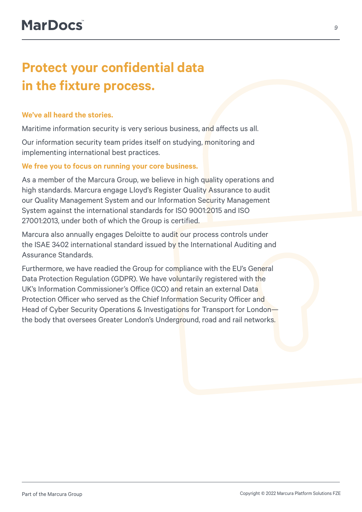## **Protect your confidential data in the fixture process.**

#### **We've all heard the stories.**

Maritime information security is very serious business, and affects us all.

Our information security team prides itself on studying, monitoring and implementing international best practices.

#### **We free you to focus on running your core business.**

As a member of the Marcura Group, we believe in high quality operations and high standards. Marcura engage Lloyd's Register Quality Assurance to audit our Quality Management System and our Information Security Management System against the international standards for ISO 9001:2015 and ISO 27001:2013, under both of which the Group is certified.

Marcura also annually engages Deloitte to audit our process controls under the ISAE 3402 international standard issued by the International Auditing and Assurance Standards.

Furthermore, we have readied the Group for compliance with the EU's General Data Protection Regulation (GDPR). We have voluntarily registered with the UK's Information Commissioner's Office (ICO) and retain an external Data Protection Officer who served as the Chief Information Security Officer and Head of Cyber Security Operations & Investigations for Transport for Londonthe body that oversees Greater London's Underground, road and rail networks.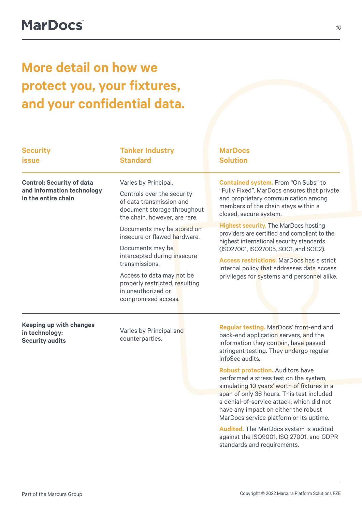# **More detail on how we protect you, your fixtures, and your confidential data.**

| <b>Security</b><br><b>issue</b>                                                       | <b>Tanker Industry</b><br><b>Standard</b>                                                                                                                                                                                                                                    | <b>MarDocs</b><br><b>Solution</b>                                                                                                                                                                                                                                                                                                  |
|---------------------------------------------------------------------------------------|------------------------------------------------------------------------------------------------------------------------------------------------------------------------------------------------------------------------------------------------------------------------------|------------------------------------------------------------------------------------------------------------------------------------------------------------------------------------------------------------------------------------------------------------------------------------------------------------------------------------|
| <b>Control: Security of data</b><br>and information technology<br>in the entire chain | Varies by Principal.<br>Controls over the security<br>of data transmission and<br>document storage throughout                                                                                                                                                                | <b>Contained system.</b> From "On Subs" to<br>"Fully Fixed", MarDocs ensures that private<br>and proprietary communication among<br>members of the chain stays within a<br>closed, secure system.                                                                                                                                  |
|                                                                                       | the chain, however, are rare.<br>Documents may be stored on<br>insecure or flawed hardware.<br>Documents may be<br>intercepted during insecure<br>transmissions.<br>Access to data may not be<br>properly restricted, resulting<br>in unauthorized or<br>compromised access. | <b>Highest security. The MarDocs hosting</b><br>providers are certified and compliant to the<br>highest international security standards<br>(ISO27001, ISO27005, SOC1, and SOC2).<br><b>Access restrictions.</b> MarDocs has a strict<br>internal policy that addresses data access<br>privileges for systems and personnel alike. |
| <b>Keeping up with changes</b><br>in technology:<br><b>Security audits</b>            | Varies by Principal and<br>counterparties.                                                                                                                                                                                                                                   | Regular testing. MarDocs' front-end and<br>back-end application servers, and the<br>information they contain, have passed<br>stringent testing. They undergo regular<br>InfoSec audits.                                                                                                                                            |

**Robust protection.** Auditors have performed a stress test on the system, simulating 10 years' worth of fixtures in a span of only 36 hours. This test included a denial-of-service attack, which did not have any impact on either the robust MarDocs service platform or its uptime.

**Audited.** The MarDocs system is audited against the ISO9001, ISO 27001, and GDPR standards and requirements.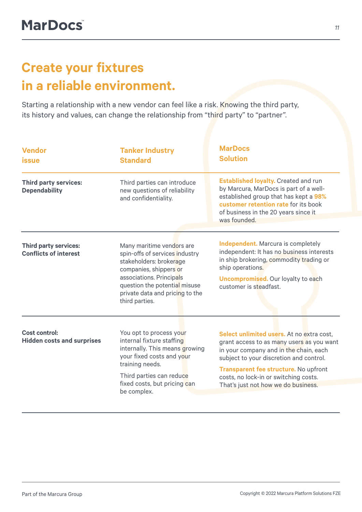## **Create your fixtures in a reliable environment.**

Starting a relationship with a new vendor can feel like a risk. Knowing the third party, its history and values, can change the relationship from "third party" to "partner".

| <b>Vendor</b><br><b>issue</b>                                | <b>Tanker Industry</b><br><b>Standard</b>                                                                                                                                                                                          | <b>MarDocs</b><br><b>Solution</b>                                                                                                                                                                                                                                                                    |
|--------------------------------------------------------------|------------------------------------------------------------------------------------------------------------------------------------------------------------------------------------------------------------------------------------|------------------------------------------------------------------------------------------------------------------------------------------------------------------------------------------------------------------------------------------------------------------------------------------------------|
| <b>Third party services:</b><br><b>Dependability</b>         | Third parties can introduce<br>new questions of reliability<br>and confidentiality.                                                                                                                                                | <b>Established loyalty.</b> Created and run<br>by Marcura, MarDocs is part of a well-<br>established group that has kept a 98%<br>customer retention rate for its book<br>of business in the 20 years since it<br>was founded.                                                                       |
| <b>Third party services:</b><br><b>Conflicts of interest</b> | Many maritime vendors are<br>spin-offs of services industry<br>stakeholders: brokerage<br>companies, shippers or<br>associations. Principals<br>question the potential misuse<br>private data and pricing to the<br>third parties. | <b>Independent.</b> Marcura is completely<br>independent: It has no business interests<br>in ship brokering, commodity trading or<br>ship operations.<br><b>Uncompromised.</b> Our loyalty to each<br>customer is steadfast.                                                                         |
| <b>Cost control:</b><br><b>Hidden costs and surprises</b>    | You opt to process your<br>internal fixture staffing<br>internally. This means growing<br>your fixed costs and your<br>training needs.<br>Third parties can reduce<br>fixed costs, but pricing can<br>be complex.                  | Select unlimited users. At no extra cost.<br>grant access to as many users as you want<br>in your company and in the chain, each<br>subject to your discretion and control.<br>Transparent fee structure. No upfront<br>costs, no lock-in or switching costs.<br>That's just not how we do business. |